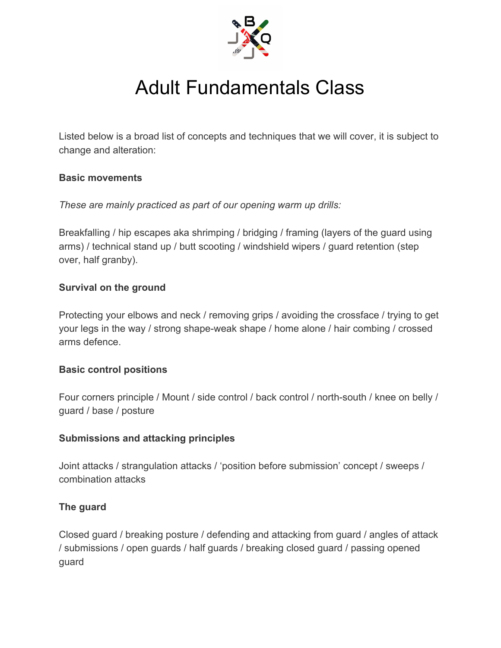

# Adult Fundamentals Class

Listed below is a broad list of concepts and techniques that we will cover, it is subject to change and alteration:

#### **Basic movements**

*These are mainly practiced as part of our opening warm up drills:*

Breakfalling / hip escapes aka shrimping / bridging / framing (layers of the guard using arms) / technical stand up / butt scooting / windshield wipers / guard retention (step over, half granby).

### **Survival on the ground**

Protecting your elbows and neck / removing grips / avoiding the crossface / trying to get your legs in the way / strong shape-weak shape / home alone / hair combing / crossed arms defence.

### **Basic control positions**

Four corners principle / Mount / side control / back control / north-south / knee on belly / guard / base / posture

### **Submissions and attacking principles**

Joint attacks / strangulation attacks / 'position before submission' concept / sweeps / combination attacks

### **The guard**

Closed guard / breaking posture / defending and attacking from guard / angles of attack / submissions / open guards / half guards / breaking closed guard / passing opened guard